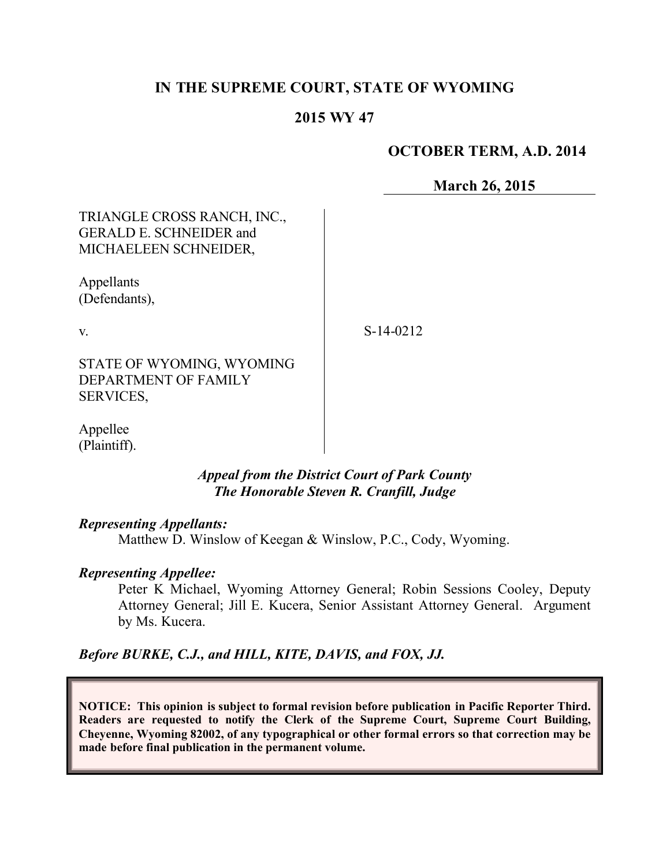# **IN THE SUPREME COURT, STATE OF WYOMING**

### **2015 WY 47**

## **OCTOBER TERM, A.D. 2014**

**March 26, 2015**

TRIANGLE CROSS RANCH, INC., GERALD E. SCHNEIDER and MICHAELEEN SCHNEIDER,

Appellants (Defendants),

v.

S-14-0212

STATE OF WYOMING, WYOMING DEPARTMENT OF FAMILY SERVICES,

Appellee (Plaintiff).

### *Appeal from the District Court of Park County The Honorable Steven R. Cranfill, Judge*

#### *Representing Appellants:*

Matthew D. Winslow of Keegan & Winslow, P.C., Cody, Wyoming.

### *Representing Appellee:*

Peter K Michael, Wyoming Attorney General; Robin Sessions Cooley, Deputy Attorney General; Jill E. Kucera, Senior Assistant Attorney General. Argument by Ms. Kucera.

*Before BURKE, C.J., and HILL, KITE, DAVIS, and FOX, JJ.*

**NOTICE: This opinion is subject to formal revision before publication in Pacific Reporter Third. Readers are requested to notify the Clerk of the Supreme Court, Supreme Court Building, Cheyenne, Wyoming 82002, of any typographical or other formal errors so that correction may be made before final publication in the permanent volume.**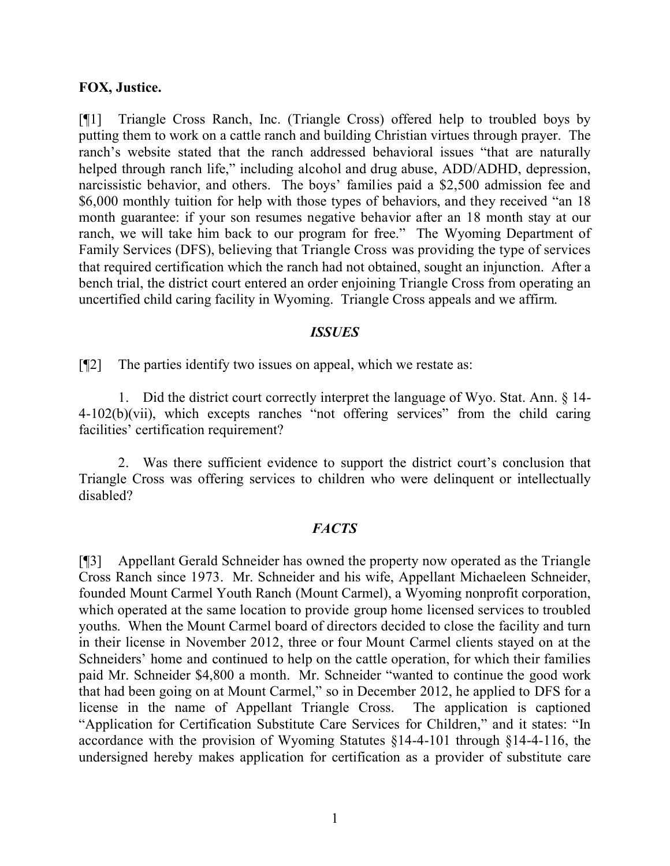#### **FOX, Justice.**

[¶1] Triangle Cross Ranch, Inc. (Triangle Cross) offered help to troubled boys by putting them to work on a cattle ranch and building Christian virtues through prayer. The ranch's website stated that the ranch addressed behavioral issues "that are naturally helped through ranch life," including alcohol and drug abuse, ADD/ADHD, depression, narcissistic behavior, and others. The boys' families paid a \$2,500 admission fee and \$6,000 monthly tuition for help with those types of behaviors, and they received "an 18 month guarantee: if your son resumes negative behavior after an 18 month stay at our ranch, we will take him back to our program for free." The Wyoming Department of Family Services (DFS), believing that Triangle Cross was providing the type of services that required certification which the ranch had not obtained, sought an injunction. After a bench trial, the district court entered an order enjoining Triangle Cross from operating an uncertified child caring facility in Wyoming. Triangle Cross appeals and we affirm.

#### *ISSUES*

[¶2] The parties identify two issues on appeal, which we restate as:

1. Did the district court correctly interpret the language of Wyo. Stat. Ann. § 14- 4-102(b)(vii), which excepts ranches "not offering services" from the child caring facilities' certification requirement?

2. Was there sufficient evidence to support the district court's conclusion that Triangle Cross was offering services to children who were delinquent or intellectually disabled?

### *FACTS*

[¶3] Appellant Gerald Schneider has owned the property now operated as the Triangle Cross Ranch since 1973. Mr. Schneider and his wife, Appellant Michaeleen Schneider, founded Mount Carmel Youth Ranch (Mount Carmel), a Wyoming nonprofit corporation, which operated at the same location to provide group home licensed services to troubled youths. When the Mount Carmel board of directors decided to close the facility and turn in their license in November 2012, three or four Mount Carmel clients stayed on at the Schneiders' home and continued to help on the cattle operation, for which their families paid Mr. Schneider \$4,800 a month. Mr. Schneider "wanted to continue the good work that had been going on at Mount Carmel," so in December 2012, he applied to DFS for a license in the name of Appellant Triangle Cross. The application is captioned "Application for Certification Substitute Care Services for Children," and it states: "In accordance with the provision of Wyoming Statutes §14-4-101 through §14-4-116, the undersigned hereby makes application for certification as a provider of substitute care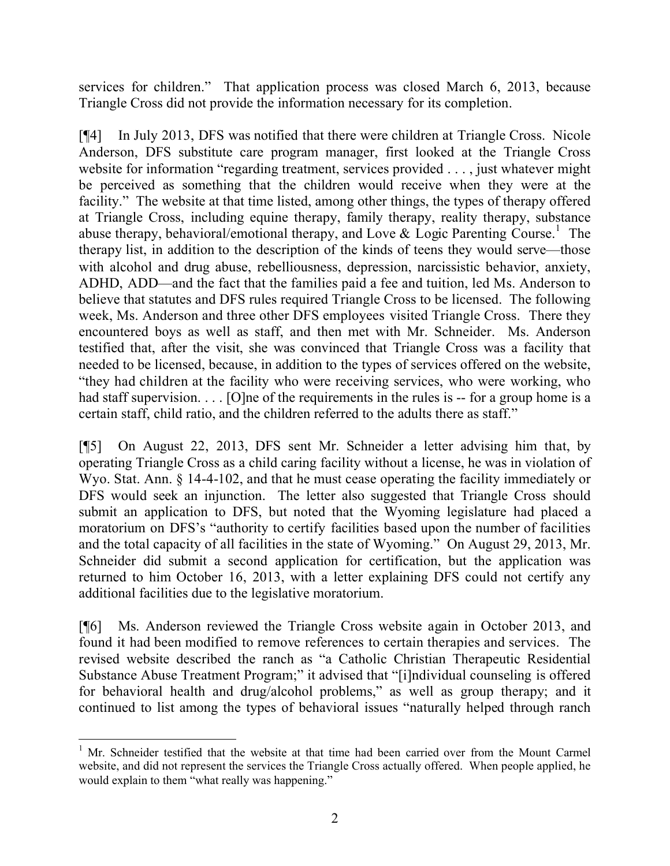services for children." That application process was closed March 6, 2013, because Triangle Cross did not provide the information necessary for its completion.

[¶4] In July 2013, DFS was notified that there were children at Triangle Cross. Nicole Anderson, DFS substitute care program manager, first looked at the Triangle Cross website for information "regarding treatment, services provided . . . , just whatever might be perceived as something that the children would receive when they were at the facility." The website at that time listed, among other things, the types of therapy offered at Triangle Cross, including equine therapy, family therapy, reality therapy, substance abuse therapy, behavioral/emotional therapy, and Love & Logic Parenting Course.<sup>1</sup> The therapy list, in addition to the description of the kinds of teens they would serve—those with alcohol and drug abuse, rebelliousness, depression, narcissistic behavior, anxiety, ADHD, ADD—and the fact that the families paid a fee and tuition, led Ms. Anderson to believe that statutes and DFS rules required Triangle Cross to be licensed. The following week, Ms. Anderson and three other DFS employees visited Triangle Cross. There they encountered boys as well as staff, and then met with Mr. Schneider. Ms. Anderson testified that, after the visit, she was convinced that Triangle Cross was a facility that needed to be licensed, because, in addition to the types of services offered on the website, "they had children at the facility who were receiving services, who were working, who had staff supervision. . . . [O]ne of the requirements in the rules is -- for a group home is a certain staff, child ratio, and the children referred to the adults there as staff."

[¶5] On August 22, 2013, DFS sent Mr. Schneider a letter advising him that, by operating Triangle Cross as a child caring facility without a license, he was in violation of Wyo. Stat. Ann. § 14-4-102, and that he must cease operating the facility immediately or DFS would seek an injunction. The letter also suggested that Triangle Cross should submit an application to DFS, but noted that the Wyoming legislature had placed a moratorium on DFS's "authority to certify facilities based upon the number of facilities and the total capacity of all facilities in the state of Wyoming." On August 29, 2013, Mr. Schneider did submit a second application for certification, but the application was returned to him October 16, 2013, with a letter explaining DFS could not certify any additional facilities due to the legislative moratorium.

[¶6] Ms. Anderson reviewed the Triangle Cross website again in October 2013, and found it had been modified to remove references to certain therapies and services. The revised website described the ranch as "a Catholic Christian Therapeutic Residential Substance Abuse Treatment Program;" it advised that "[i]ndividual counseling is offered for behavioral health and drug/alcohol problems," as well as group therapy; and it continued to list among the types of behavioral issues "naturally helped through ranch

 <sup>1</sup> Mr. Schneider testified that the website at that time had been carried over from the Mount Carmel website, and did not represent the services the Triangle Cross actually offered. When people applied, he would explain to them "what really was happening."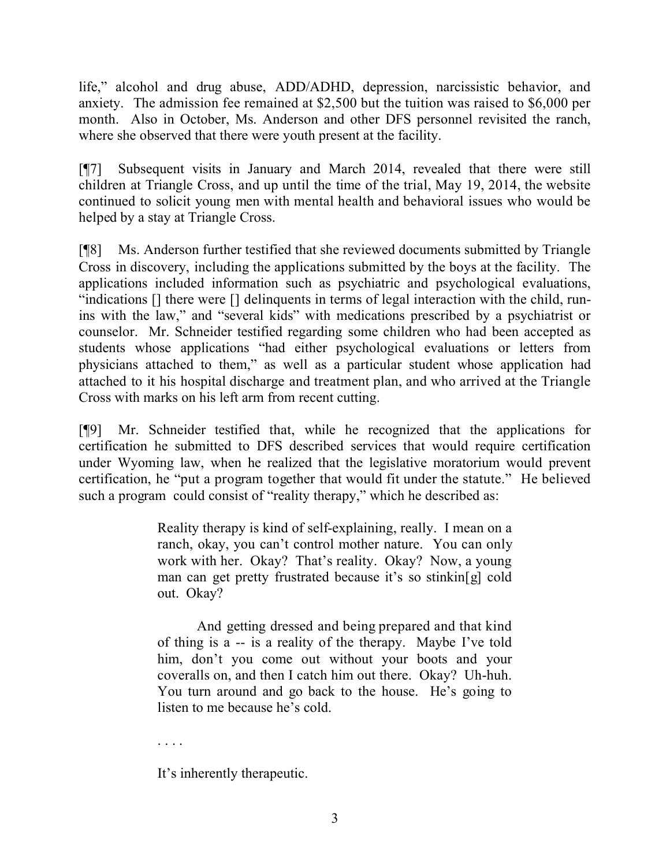life," alcohol and drug abuse, ADD/ADHD, depression, narcissistic behavior, and anxiety. The admission fee remained at \$2,500 but the tuition was raised to \$6,000 per month. Also in October, Ms. Anderson and other DFS personnel revisited the ranch, where she observed that there were youth present at the facility.

[¶7] Subsequent visits in January and March 2014, revealed that there were still children at Triangle Cross, and up until the time of the trial, May 19, 2014, the website continued to solicit young men with mental health and behavioral issues who would be helped by a stay at Triangle Cross.

[¶8] Ms. Anderson further testified that she reviewed documents submitted by Triangle Cross in discovery, including the applications submitted by the boys at the facility. The applications included information such as psychiatric and psychological evaluations, "indications [] there were [] delinquents in terms of legal interaction with the child, runins with the law," and "several kids" with medications prescribed by a psychiatrist or counselor. Mr. Schneider testified regarding some children who had been accepted as students whose applications "had either psychological evaluations or letters from physicians attached to them," as well as a particular student whose application had attached to it his hospital discharge and treatment plan, and who arrived at the Triangle Cross with marks on his left arm from recent cutting.

[¶9] Mr. Schneider testified that, while he recognized that the applications for certification he submitted to DFS described services that would require certification under Wyoming law, when he realized that the legislative moratorium would prevent certification, he "put a program together that would fit under the statute." He believed such a program could consist of "reality therapy," which he described as:

> Reality therapy is kind of self-explaining, really. I mean on a ranch, okay, you can't control mother nature. You can only work with her. Okay? That's reality. Okay? Now, a young man can get pretty frustrated because it's so stinkin[g] cold out. Okay?

> And getting dressed and being prepared and that kind of thing is a -- is a reality of the therapy. Maybe I've told him, don't you come out without your boots and your coveralls on, and then I catch him out there. Okay? Uh-huh. You turn around and go back to the house. He's going to listen to me because he's cold.

. . . .

It's inherently therapeutic.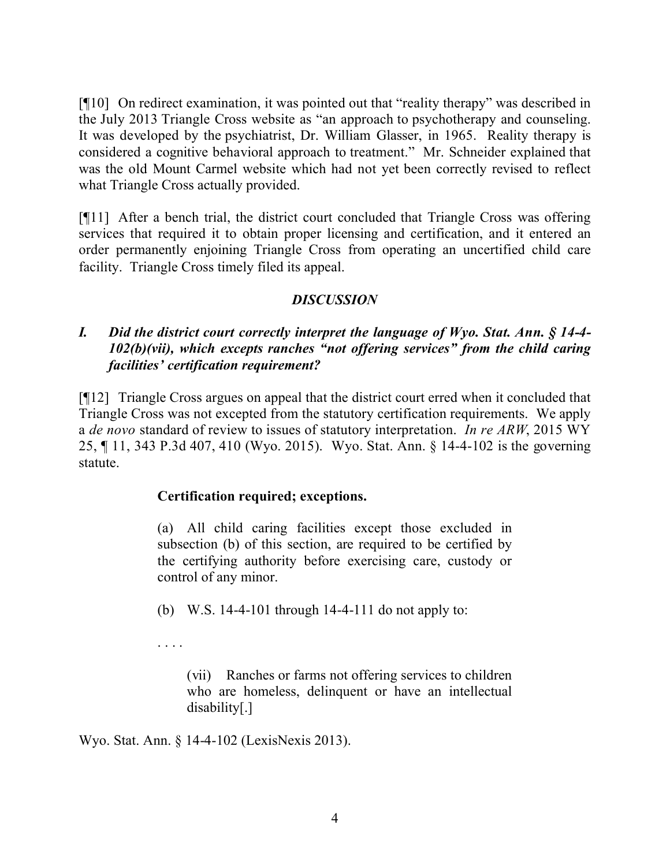[¶10] On redirect examination, it was pointed out that "reality therapy" was described in the July 2013 Triangle Cross website as "an approach to psychotherapy and counseling. It was developed by the psychiatrist, Dr. William Glasser, in 1965. Reality therapy is considered a cognitive behavioral approach to treatment." Mr. Schneider explained that was the old Mount Carmel website which had not yet been correctly revised to reflect what Triangle Cross actually provided.

[¶11] After a bench trial, the district court concluded that Triangle Cross was offering services that required it to obtain proper licensing and certification, and it entered an order permanently enjoining Triangle Cross from operating an uncertified child care facility. Triangle Cross timely filed its appeal.

# *DISCUSSION*

## *I. Did the district court correctly interpret the language of Wyo. Stat. Ann. § 14-4- 102(b)(vii), which excepts ranches "not offering services" from the child caring facilities' certification requirement?*

[¶12] Triangle Cross argues on appeal that the district court erred when it concluded that Triangle Cross was not excepted from the statutory certification requirements. We apply a *de novo* standard of review to issues of statutory interpretation. *In re ARW*, 2015 WY 25, ¶ 11, 343 P.3d 407, 410 (Wyo. 2015). Wyo. Stat. Ann. § 14-4-102 is the governing statute.

## **Certification required; exceptions.**

(a) All child caring facilities except those excluded in subsection (b) of this section, are required to be certified by the certifying authority before exercising care, custody or control of any minor.

(b) W.S. 14-4-101 through 14-4-111 do not apply to:

. . . .

(vii) Ranches or farms not offering services to children who are homeless, delinquent or have an intellectual disability[.]

Wyo. Stat. Ann. § 14-4-102 (LexisNexis 2013).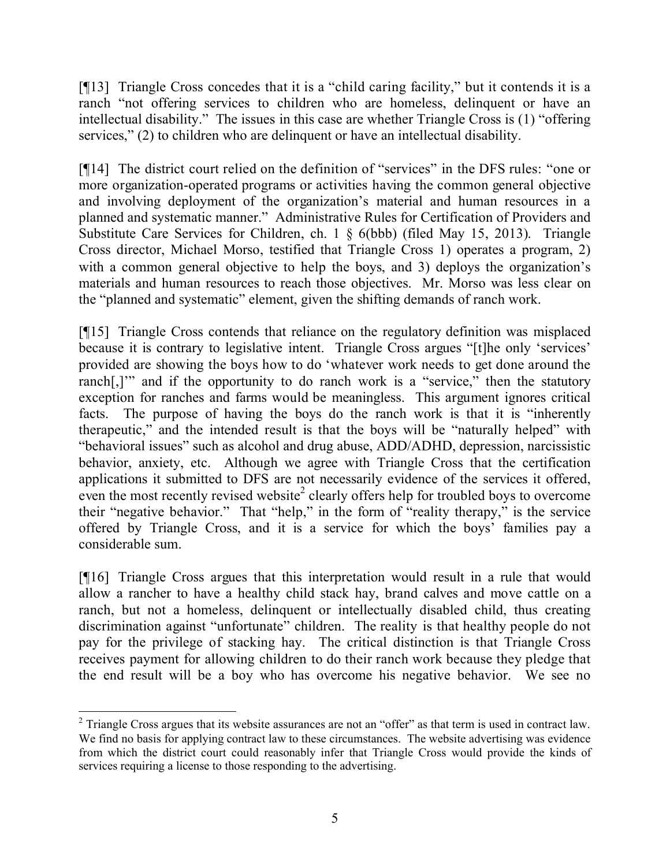[¶13] Triangle Cross concedes that it is a "child caring facility," but it contends it is a ranch "not offering services to children who are homeless, delinquent or have an intellectual disability." The issues in this case are whether Triangle Cross is (1) "offering services," (2) to children who are delinquent or have an intellectual disability.

[¶14] The district court relied on the definition of "services" in the DFS rules: "one or more organization-operated programs or activities having the common general objective and involving deployment of the organization's material and human resources in a planned and systematic manner." Administrative Rules for Certification of Providers and Substitute Care Services for Children, ch. 1 § 6(bbb) (filed May 15, 2013). Triangle Cross director, Michael Morso, testified that Triangle Cross 1) operates a program, 2) with a common general objective to help the boys, and 3) deploys the organization's materials and human resources to reach those objectives. Mr. Morso was less clear on the "planned and systematic" element, given the shifting demands of ranch work.

[¶15] Triangle Cross contends that reliance on the regulatory definition was misplaced because it is contrary to legislative intent. Triangle Cross argues "[t]he only 'services' provided are showing the boys how to do 'whatever work needs to get done around the ranch[,]" and if the opportunity to do ranch work is a "service," then the statutory exception for ranches and farms would be meaningless. This argument ignores critical facts. The purpose of having the boys do the ranch work is that it is "inherently therapeutic," and the intended result is that the boys will be "naturally helped" with "behavioral issues" such as alcohol and drug abuse, ADD/ADHD, depression, narcissistic behavior, anxiety, etc. Although we agree with Triangle Cross that the certification applications it submitted to DFS are not necessarily evidence of the services it offered,  $\frac{1}{2}$  even the most recently revised website<sup>2</sup> clearly offers help for troubled boys to overcome their "negative behavior." That "help," in the form of "reality therapy," is the service offered by Triangle Cross, and it is a service for which the boys' families pay a considerable sum.

[¶16] Triangle Cross argues that this interpretation would result in a rule that would allow a rancher to have a healthy child stack hay, brand calves and move cattle on a ranch, but not a homeless, delinquent or intellectually disabled child, thus creating discrimination against "unfortunate" children. The reality is that healthy people do not pay for the privilege of stacking hay. The critical distinction is that Triangle Cross receives payment for allowing children to do their ranch work because they pledge that the end result will be a boy who has overcome his negative behavior. We see no

  $2$  Triangle Cross argues that its website assurances are not an "offer" as that term is used in contract law. We find no basis for applying contract law to these circumstances. The website advertising was evidence from which the district court could reasonably infer that Triangle Cross would provide the kinds of services requiring a license to those responding to the advertising.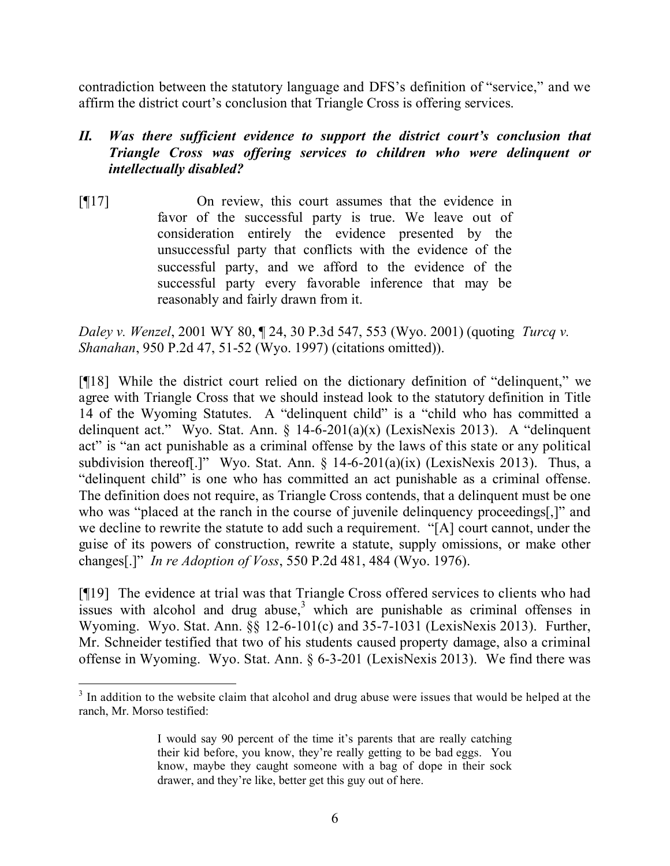contradiction between the statutory language and DFS's definition of "service," and we affirm the district court's conclusion that Triangle Cross is offering services.

# *II. Was there sufficient evidence to support the district court's conclusion that Triangle Cross was offering services to children who were delinquent or intellectually disabled?*

[¶17] On review, this court assumes that the evidence in favor of the successful party is true. We leave out of consideration entirely the evidence presented by the unsuccessful party that conflicts with the evidence of the successful party, and we afford to the evidence of the successful party every favorable inference that may be reasonably and fairly drawn from it.

*Daley v. Wenzel*, 2001 WY 80, ¶ 24, 30 P.3d 547, 553 (Wyo. 2001) (quoting *Turcq v. Shanahan*, 950 P.2d 47, 51-52 (Wyo. 1997) (citations omitted)).

[¶18] While the district court relied on the dictionary definition of "delinquent," we agree with Triangle Cross that we should instead look to the statutory definition in Title 14 of the Wyoming Statutes. A "delinquent child" is a "child who has committed a delinquent act." Wyo. Stat. Ann. § 14-6-201(a)(x) (LexisNexis 2013). A "delinquent act" is "an act punishable as a criminal offense by the laws of this state or any political subdivision thereof[.]" Wyo. Stat. Ann. § 14-6-201(a)(ix) (LexisNexis 2013). Thus, a "delinquent child" is one who has committed an act punishable as a criminal offense. The definition does not require, as Triangle Cross contends, that a delinquent must be one who was "placed at the ranch in the course of juvenile delinquency proceedings..." and we decline to rewrite the statute to add such a requirement. "[A] court cannot, under the guise of its powers of construction, rewrite a statute, supply omissions, or make other changes[.]" *In re Adoption of Voss*, 550 P.2d 481, 484 (Wyo. 1976).

[¶19] The evidence at trial was that Triangle Cross offered services to clients who had issues with alcohol and drug abuse,  $3$  which are punishable as criminal offenses in Wyoming. Wyo. Stat. Ann. §§ 12-6-101(c) and 35-7-1031 (LexisNexis 2013). Further, Mr. Schneider testified that two of his students caused property damage, also a criminal offense in Wyoming. Wyo. Stat. Ann. § 6-3-201 (LexisNexis 2013). We find there was

 $3$  In addition to the website claim that alcohol and drug abuse were issues that would be helped at the ranch, Mr. Morso testified:

I would say 90 percent of the time it's parents that are really catching their kid before, you know, they're really getting to be bad eggs. You know, maybe they caught someone with a bag of dope in their sock drawer, and they're like, better get this guy out of here.